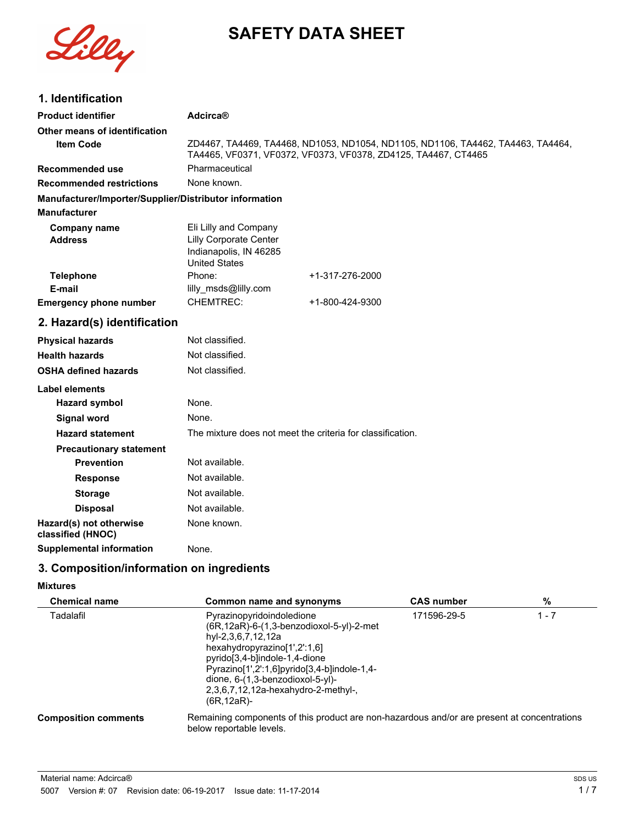

# **SAFETY DATA SHEET**

## **1. Identification**

| <b>Product identifier</b>                                                     | Adcirca®                                                                                                 |                 |  |
|-------------------------------------------------------------------------------|----------------------------------------------------------------------------------------------------------|-----------------|--|
| Other means of identification<br><b>Item Code</b>                             | ZD4467, TA4469, TA4468, ND1053, ND1054, ND1105, ND1106, TA4462, TA4463, TA4464,                          |                 |  |
|                                                                               | TA4465, VF0371, VF0372, VF0373, VF0378, ZD4125, TA4467, CT4465                                           |                 |  |
| <b>Recommended use</b>                                                        | Pharmaceutical                                                                                           |                 |  |
| <b>Recommended restrictions</b>                                               | None known.                                                                                              |                 |  |
| Manufacturer/Importer/Supplier/Distributor information<br><b>Manufacturer</b> |                                                                                                          |                 |  |
| <b>Company name</b><br><b>Address</b>                                         | Eli Lilly and Company<br><b>Lilly Corporate Center</b><br>Indianapolis, IN 46285<br><b>United States</b> |                 |  |
| <b>Telephone</b>                                                              | Phone:                                                                                                   | +1-317-276-2000 |  |
| E-mail                                                                        | lilly_msds@lilly.com                                                                                     |                 |  |
| <b>Emergency phone number</b>                                                 | <b>CHEMTREC:</b>                                                                                         | +1-800-424-9300 |  |
| 2. Hazard(s) identification                                                   |                                                                                                          |                 |  |
| <b>Physical hazards</b>                                                       | Not classified.                                                                                          |                 |  |
| <b>Health hazards</b>                                                         | Not classified.                                                                                          |                 |  |
| <b>OSHA defined hazards</b>                                                   | Not classified.                                                                                          |                 |  |
| Label elements                                                                |                                                                                                          |                 |  |
| <b>Hazard symbol</b>                                                          | None.                                                                                                    |                 |  |
| <b>Signal word</b>                                                            | None.                                                                                                    |                 |  |
| <b>Hazard statement</b>                                                       | The mixture does not meet the criteria for classification.                                               |                 |  |
| <b>Precautionary statement</b>                                                |                                                                                                          |                 |  |
| <b>Prevention</b>                                                             | Not available.                                                                                           |                 |  |
| <b>Response</b>                                                               | Not available.                                                                                           |                 |  |
| <b>Storage</b>                                                                | Not available.                                                                                           |                 |  |
| <b>Disposal</b>                                                               | Not available.                                                                                           |                 |  |
| Hazard(s) not otherwise<br>classified (HNOC)                                  | None known.                                                                                              |                 |  |
| <b>Supplemental information</b>                                               | None.                                                                                                    |                 |  |
|                                                                               |                                                                                                          |                 |  |

# **3. Composition/information on ingredients**

#### **Mixtures**

| <b>Chemical name</b>        | Common name and synonyms                                                                                                                                                                                                                                                                                   | <b>CAS number</b> | %       |
|-----------------------------|------------------------------------------------------------------------------------------------------------------------------------------------------------------------------------------------------------------------------------------------------------------------------------------------------------|-------------------|---------|
| Tadalafil                   | Pyrazinopyridoindoledione<br>(6R, 12aR)-6-(1, 3-benzodioxol-5-yl)-2-met<br>hyl-2,3,6,7,12,12a<br>hexahydropyrazino[1',2':1,6]<br>pyrido[3,4-b]indole-1,4-dione<br>Pyrazino[1',2':1,6]pyrido[3,4-b]indole-1,4-<br>dione, 6-(1,3-benzodioxol-5-yl)-<br>2,3,6,7,12,12a-hexahydro-2-methyl-,<br>$(6R, 12aR)$ - | 171596-29-5       | $1 - 7$ |
| <b>Composition comments</b> | Remaining components of this product are non-hazardous and/or are present at concentrations<br>below reportable levels.                                                                                                                                                                                    |                   |         |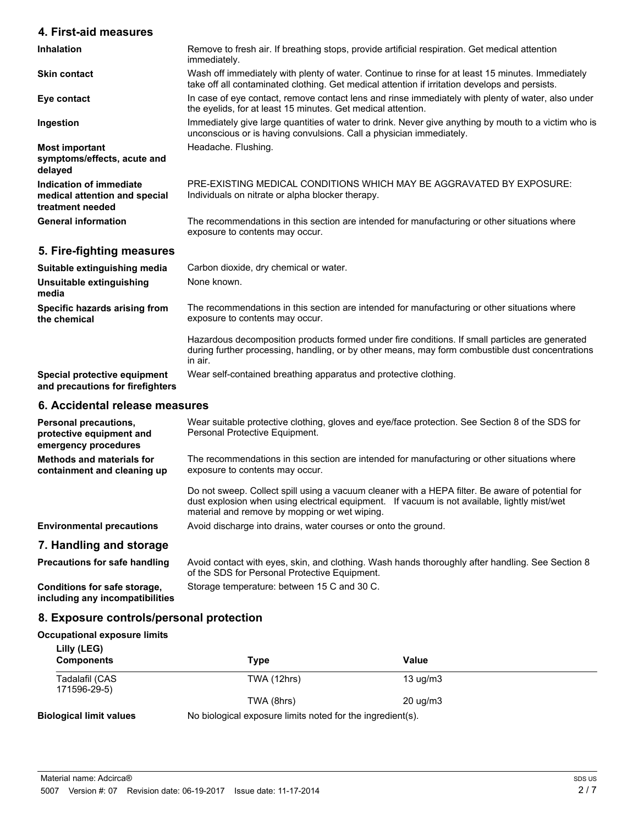#### **4. First-aid measures**

| <b>Inhalation</b>                                                            | Remove to fresh air. If breathing stops, provide artificial respiration. Get medical attention<br>immediately.                                                                                      |
|------------------------------------------------------------------------------|-----------------------------------------------------------------------------------------------------------------------------------------------------------------------------------------------------|
| <b>Skin contact</b>                                                          | Wash off immediately with plenty of water. Continue to rinse for at least 15 minutes. Immediately<br>take off all contaminated clothing. Get medical attention if irritation develops and persists. |
| Eye contact                                                                  | In case of eye contact, remove contact lens and rinse immediately with plenty of water, also under<br>the evelids, for at least 15 minutes. Get medical attention.                                  |
| Ingestion                                                                    | Immediately give large guantities of water to drink. Never give anything by mouth to a victim who is<br>unconscious or is having convulsions. Call a physician immediately.                         |
| <b>Most important</b><br>symptoms/effects, acute and<br>delayed              | Headache. Flushing.                                                                                                                                                                                 |
| Indication of immediate<br>medical attention and special<br>treatment needed | PRE-EXISTING MEDICAL CONDITIONS WHICH MAY BE AGGRAVATED BY EXPOSURE:<br>Individuals on nitrate or alpha blocker therapy.                                                                            |
| <b>General information</b>                                                   | The recommendations in this section are intended for manufacturing or other situations where<br>exposure to contents may occur.                                                                     |

## **5. Fire-fighting measures**

| Suitable extinguishing media                                     | Carbon dioxide, dry chemical or water.                                                                                                                                                                         |  |
|------------------------------------------------------------------|----------------------------------------------------------------------------------------------------------------------------------------------------------------------------------------------------------------|--|
| Unsuitable extinguishing<br>media                                | None known.                                                                                                                                                                                                    |  |
| Specific hazards arising from<br>the chemical                    | The recommendations in this section are intended for manufacturing or other situations where<br>exposure to contents may occur.                                                                                |  |
|                                                                  | Hazardous decomposition products formed under fire conditions. If small particles are generated<br>during further processing, handling, or by other means, may form combustible dust concentrations<br>in air. |  |
| Special protective equipment<br>and precautions for firefighters | Wear self-contained breathing apparatus and protective clothing.                                                                                                                                               |  |

#### **6. Accidental release measures**

| <b>Personal precautions,</b><br>protective equipment and<br>emergency procedures | Wear suitable protective clothing, gloves and eye/face protection. See Section 8 of the SDS for<br>Personal Protective Equipment.                                                                                                                 |  |
|----------------------------------------------------------------------------------|---------------------------------------------------------------------------------------------------------------------------------------------------------------------------------------------------------------------------------------------------|--|
| Methods and materials for<br>containment and cleaning up                         | The recommendations in this section are intended for manufacturing or other situations where<br>exposure to contents may occur.                                                                                                                   |  |
|                                                                                  | Do not sweep. Collect spill using a vacuum cleaner with a HEPA filter. Be aware of potential for<br>dust explosion when using electrical equipment. If vacuum is not available, lightly mist/wet<br>material and remove by mopping or wet wiping. |  |
| <b>Environmental precautions</b>                                                 | Avoid discharge into drains, water courses or onto the ground.                                                                                                                                                                                    |  |
| 7. Handling and storage                                                          |                                                                                                                                                                                                                                                   |  |
| <b>Precautions for safe handling</b>                                             | Avoid contact with eyes, skin, and clothing. Wash hands thoroughly after handling. See Section 8<br>of the SDS for Personal Protective Equipment.                                                                                                 |  |

**Conditions for safe storage,** Storage temperature: between 15 C and 30 C. **including any incompatibilities**

#### **8. Exposure controls/personal protection**

#### **Occupational exposure limits**

| Lilly (LEG)<br><b>Components</b> | Type                                                       | Value             |  |
|----------------------------------|------------------------------------------------------------|-------------------|--|
| Tadalafil (CAS<br>171596-29-5)   | TWA (12hrs)                                                | $13 \text{ uq/m}$ |  |
|                                  | TWA (8hrs)                                                 | 20 ug/m3          |  |
| <b>Biological limit values</b>   | No biological exposure limits noted for the ingredient(s). |                   |  |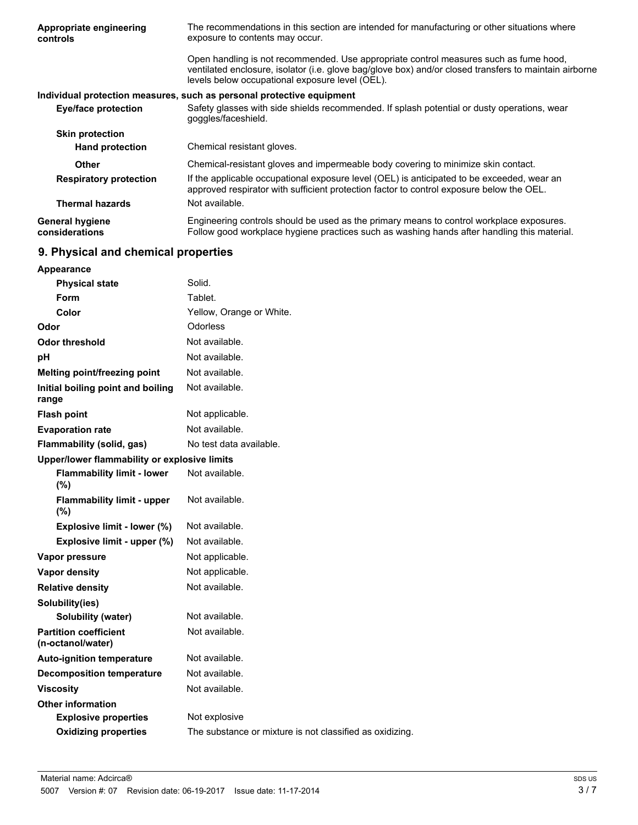| Appropriate engineering<br>controls      | The recommendations in this section are intended for manufacturing or other situations where<br>exposure to contents may occur.                                                                                                                    |  |  |
|------------------------------------------|----------------------------------------------------------------------------------------------------------------------------------------------------------------------------------------------------------------------------------------------------|--|--|
|                                          | Open handling is not recommended. Use appropriate control measures such as fume hood,<br>ventilated enclosure, isolator (i.e. glove bag/glove box) and/or closed transfers to maintain airborne<br>levels below occupational exposure level (OEL). |  |  |
|                                          | Individual protection measures, such as personal protective equipment                                                                                                                                                                              |  |  |
| <b>Eye/face protection</b>               | Safety glasses with side shields recommended. If splash potential or dusty operations, wear<br>goggles/faceshield.                                                                                                                                 |  |  |
| <b>Skin protection</b>                   |                                                                                                                                                                                                                                                    |  |  |
| <b>Hand protection</b>                   | Chemical resistant gloves.                                                                                                                                                                                                                         |  |  |
| <b>Other</b>                             | Chemical-resistant gloves and impermeable body covering to minimize skin contact.                                                                                                                                                                  |  |  |
| <b>Respiratory protection</b>            | If the applicable occupational exposure level (OEL) is anticipated to be exceeded, wear an<br>approved respirator with sufficient protection factor to control exposure below the OEL.                                                             |  |  |
| <b>Thermal hazards</b>                   | Not available.                                                                                                                                                                                                                                     |  |  |
| <b>General hygiene</b><br>considerations | Engineering controls should be used as the primary means to control workplace exposures.<br>Follow good workplace hygiene practices such as washing hands after handling this material.                                                            |  |  |
|                                          |                                                                                                                                                                                                                                                    |  |  |

# **9. Physical and chemical properties**

| Appearance                                        |                                                          |
|---------------------------------------------------|----------------------------------------------------------|
| <b>Physical state</b>                             | Solid.                                                   |
| Form                                              | Tablet.                                                  |
| Color                                             | Yellow, Orange or White.                                 |
| Odor                                              | <b>Odorless</b>                                          |
| Odor threshold                                    | Not available.                                           |
| рH                                                | Not available.                                           |
| Melting point/freezing point                      | Not available.                                           |
| Initial boiling point and boiling<br>range        | Not available.                                           |
| <b>Flash point</b>                                | Not applicable.                                          |
| <b>Evaporation rate</b>                           | Not available.                                           |
| Flammability (solid, gas)                         | No test data available.                                  |
| Upper/lower flammability or explosive limits      |                                                          |
| <b>Flammability limit - lower</b><br>(%)          | Not available.                                           |
| <b>Flammability limit - upper</b><br>(%)          | Not available.                                           |
| Explosive limit - lower (%)                       | Not available.                                           |
| Explosive limit - upper (%)                       | Not available.                                           |
| Vapor pressure                                    | Not applicable.                                          |
| <b>Vapor density</b>                              | Not applicable.                                          |
| <b>Relative density</b>                           | Not available.                                           |
| Solubility(ies)                                   |                                                          |
| Solubility (water)                                | Not available.                                           |
| <b>Partition coefficient</b><br>(n-octanol/water) | Not available.                                           |
| <b>Auto-ignition temperature</b>                  | Not available.                                           |
| <b>Decomposition temperature</b>                  | Not available.                                           |
| <b>Viscosity</b>                                  | Not available.                                           |
| <b>Other information</b>                          |                                                          |
| <b>Explosive properties</b>                       | Not explosive                                            |
| <b>Oxidizing properties</b>                       | The substance or mixture is not classified as oxidizing. |
|                                                   |                                                          |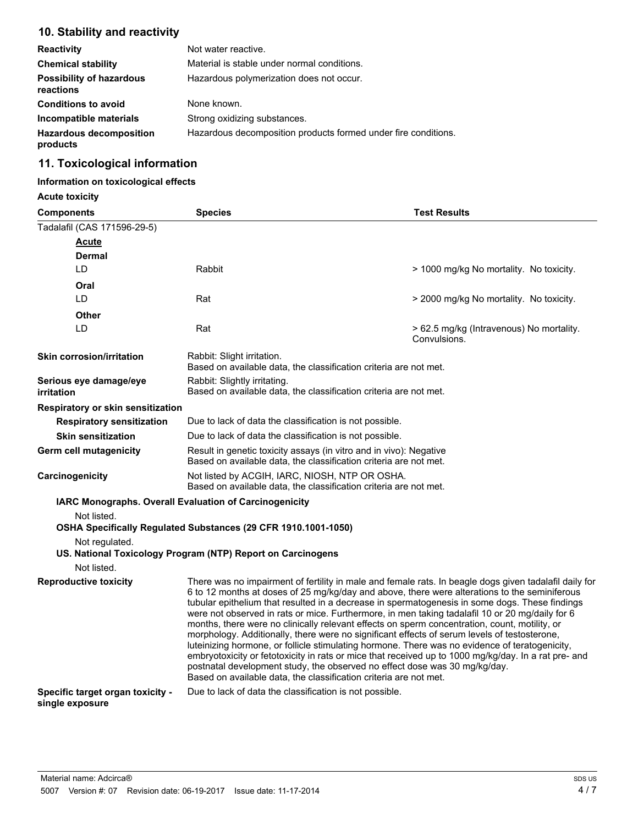## **10. Stability and reactivity**

| <b>Reactivity</b>                            | Not water reactive.                                            |  |
|----------------------------------------------|----------------------------------------------------------------|--|
| <b>Chemical stability</b>                    | Material is stable under normal conditions.                    |  |
| <b>Possibility of hazardous</b><br>reactions | Hazardous polymerization does not occur.                       |  |
| <b>Conditions to avoid</b>                   | None known.                                                    |  |
| Incompatible materials                       | Strong oxidizing substances.                                   |  |
| <b>Hazardous decomposition</b><br>products   | Hazardous decomposition products formed under fire conditions. |  |

## **11. Toxicological information**

## **Information on toxicological effects**

**Acute toxicity**

| <b>Components</b>                                   | <b>Species</b>                                                                                                                                                                                                                                                                                                                                                                                                                                                                                                                                                                                                                                                                                                                                                                                                                                                   | <b>Test Results</b>                                      |  |
|-----------------------------------------------------|------------------------------------------------------------------------------------------------------------------------------------------------------------------------------------------------------------------------------------------------------------------------------------------------------------------------------------------------------------------------------------------------------------------------------------------------------------------------------------------------------------------------------------------------------------------------------------------------------------------------------------------------------------------------------------------------------------------------------------------------------------------------------------------------------------------------------------------------------------------|----------------------------------------------------------|--|
| Tadalafil (CAS 171596-29-5)                         |                                                                                                                                                                                                                                                                                                                                                                                                                                                                                                                                                                                                                                                                                                                                                                                                                                                                  |                                                          |  |
| <b>Acute</b>                                        |                                                                                                                                                                                                                                                                                                                                                                                                                                                                                                                                                                                                                                                                                                                                                                                                                                                                  |                                                          |  |
| Dermal                                              |                                                                                                                                                                                                                                                                                                                                                                                                                                                                                                                                                                                                                                                                                                                                                                                                                                                                  |                                                          |  |
| LD.                                                 | Rabbit                                                                                                                                                                                                                                                                                                                                                                                                                                                                                                                                                                                                                                                                                                                                                                                                                                                           | > 1000 mg/kg No mortality. No toxicity.                  |  |
| Oral                                                |                                                                                                                                                                                                                                                                                                                                                                                                                                                                                                                                                                                                                                                                                                                                                                                                                                                                  |                                                          |  |
| LD.                                                 | Rat                                                                                                                                                                                                                                                                                                                                                                                                                                                                                                                                                                                                                                                                                                                                                                                                                                                              | > 2000 mg/kg No mortality. No toxicity.                  |  |
| Other                                               |                                                                                                                                                                                                                                                                                                                                                                                                                                                                                                                                                                                                                                                                                                                                                                                                                                                                  |                                                          |  |
| LD                                                  | Rat                                                                                                                                                                                                                                                                                                                                                                                                                                                                                                                                                                                                                                                                                                                                                                                                                                                              | > 62.5 mg/kg (Intravenous) No mortality.<br>Convulsions. |  |
| <b>Skin corrosion/irritation</b>                    | Rabbit: Slight irritation.<br>Based on available data, the classification criteria are not met.                                                                                                                                                                                                                                                                                                                                                                                                                                                                                                                                                                                                                                                                                                                                                                  |                                                          |  |
| Serious eye damage/eye<br>irritation                | Rabbit: Slightly irritating.<br>Based on available data, the classification criteria are not met.                                                                                                                                                                                                                                                                                                                                                                                                                                                                                                                                                                                                                                                                                                                                                                |                                                          |  |
| Respiratory or skin sensitization                   |                                                                                                                                                                                                                                                                                                                                                                                                                                                                                                                                                                                                                                                                                                                                                                                                                                                                  |                                                          |  |
| <b>Respiratory sensitization</b>                    | Due to lack of data the classification is not possible.                                                                                                                                                                                                                                                                                                                                                                                                                                                                                                                                                                                                                                                                                                                                                                                                          |                                                          |  |
| <b>Skin sensitization</b>                           | Due to lack of data the classification is not possible.                                                                                                                                                                                                                                                                                                                                                                                                                                                                                                                                                                                                                                                                                                                                                                                                          |                                                          |  |
| <b>Germ cell mutagenicity</b>                       | Result in genetic toxicity assays (in vitro and in vivo): Negative<br>Based on available data, the classification criteria are not met.                                                                                                                                                                                                                                                                                                                                                                                                                                                                                                                                                                                                                                                                                                                          |                                                          |  |
| Carcinogenicity                                     | Not listed by ACGIH, IARC, NIOSH, NTP OR OSHA.<br>Based on available data, the classification criteria are not met.                                                                                                                                                                                                                                                                                                                                                                                                                                                                                                                                                                                                                                                                                                                                              |                                                          |  |
|                                                     | IARC Monographs. Overall Evaluation of Carcinogenicity                                                                                                                                                                                                                                                                                                                                                                                                                                                                                                                                                                                                                                                                                                                                                                                                           |                                                          |  |
| Not listed.                                         |                                                                                                                                                                                                                                                                                                                                                                                                                                                                                                                                                                                                                                                                                                                                                                                                                                                                  |                                                          |  |
|                                                     | OSHA Specifically Regulated Substances (29 CFR 1910.1001-1050)                                                                                                                                                                                                                                                                                                                                                                                                                                                                                                                                                                                                                                                                                                                                                                                                   |                                                          |  |
| Not regulated.                                      |                                                                                                                                                                                                                                                                                                                                                                                                                                                                                                                                                                                                                                                                                                                                                                                                                                                                  |                                                          |  |
| Not listed.                                         | US. National Toxicology Program (NTP) Report on Carcinogens                                                                                                                                                                                                                                                                                                                                                                                                                                                                                                                                                                                                                                                                                                                                                                                                      |                                                          |  |
| <b>Reproductive toxicity</b>                        | There was no impairment of fertility in male and female rats. In beagle dogs given tadalafil daily for                                                                                                                                                                                                                                                                                                                                                                                                                                                                                                                                                                                                                                                                                                                                                           |                                                          |  |
|                                                     | 6 to 12 months at doses of 25 mg/kg/day and above, there were alterations to the seminiferous<br>tubular epithelium that resulted in a decrease in spermatogenesis in some dogs. These findings<br>were not observed in rats or mice. Furthermore, in men taking tadalafil 10 or 20 mg/daily for 6<br>months, there were no clinically relevant effects on sperm concentration, count, motility, or<br>morphology. Additionally, there were no significant effects of serum levels of testosterone,<br>luteinizing hormone, or follicle stimulating hormone. There was no evidence of teratogenicity,<br>embryotoxicity or fetotoxicity in rats or mice that received up to 1000 mg/kg/day. In a rat pre- and<br>postnatal development study, the observed no effect dose was 30 mg/kg/day.<br>Based on available data, the classification criteria are not met. |                                                          |  |
| Specific target organ toxicity -<br>single exposure | Due to lack of data the classification is not possible.                                                                                                                                                                                                                                                                                                                                                                                                                                                                                                                                                                                                                                                                                                                                                                                                          |                                                          |  |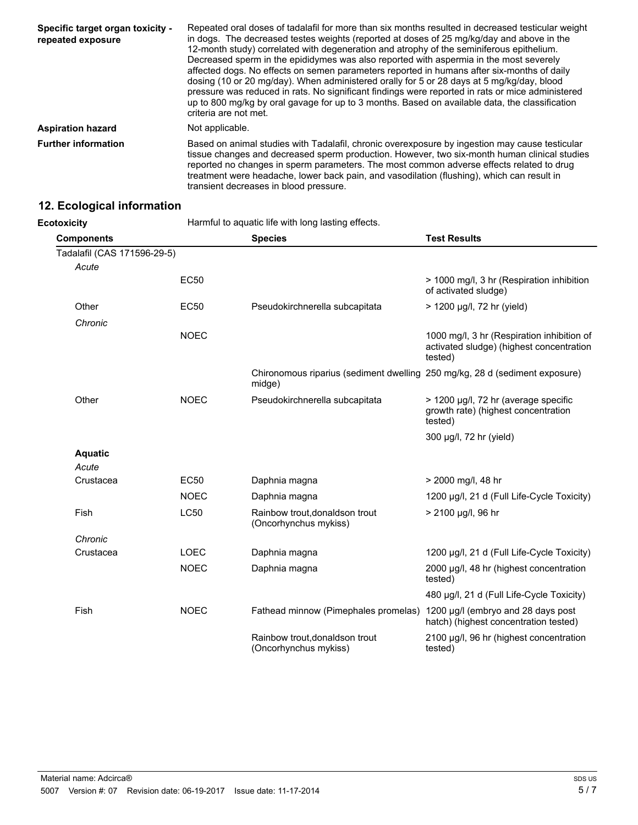| Specific target organ toxicity -<br>repeated exposure | Repeated oral doses of tadalafil for more than six months resulted in decreased testicular weight<br>in dogs. The decreased testes weights (reported at doses of 25 mg/kg/day and above in the<br>12-month study) correlated with degeneration and atrophy of the seminiferous epithelium.<br>Decreased sperm in the epididymes was also reported with aspermia in the most severely<br>affected dogs. No effects on semen parameters reported in humans after six-months of daily<br>dosing (10 or 20 mg/day). When administered orally for 5 or 28 days at 5 mg/kg/day, blood<br>pressure was reduced in rats. No significant findings were reported in rats or mice administered<br>up to 800 mg/kg by oral gavage for up to 3 months. Based on available data, the classification<br>criteria are not met. |  |
|-------------------------------------------------------|----------------------------------------------------------------------------------------------------------------------------------------------------------------------------------------------------------------------------------------------------------------------------------------------------------------------------------------------------------------------------------------------------------------------------------------------------------------------------------------------------------------------------------------------------------------------------------------------------------------------------------------------------------------------------------------------------------------------------------------------------------------------------------------------------------------|--|
| <b>Aspiration hazard</b>                              | Not applicable.                                                                                                                                                                                                                                                                                                                                                                                                                                                                                                                                                                                                                                                                                                                                                                                                |  |
| <b>Further information</b>                            | Based on animal studies with Tadalafil, chronic overexposure by ingestion may cause testicular<br>tissue changes and decreased sperm production. However, two six-month human clinical studies<br>reported no changes in sperm parameters. The most common adverse effects related to drug<br>treatment were headache, lower back pain, and vasodilation (flushing), which can result in<br>transient decreases in blood pressure.                                                                                                                                                                                                                                                                                                                                                                             |  |

# **12. Ecological information**

**Ecotoxicity Harmful to aquatic life with long lasting effects.** 

| <b>Components</b>           |             | <b>Species</b>                                                                        | <b>Test Results</b>                                                                               |
|-----------------------------|-------------|---------------------------------------------------------------------------------------|---------------------------------------------------------------------------------------------------|
| Tadalafil (CAS 171596-29-5) |             |                                                                                       |                                                                                                   |
| Acute                       |             |                                                                                       |                                                                                                   |
|                             | <b>EC50</b> |                                                                                       | > 1000 mg/l, 3 hr (Respiration inhibition<br>of activated sludge)                                 |
| Other                       | EC50        | Pseudokirchnerella subcapitata                                                        | > 1200 µg/l, 72 hr (yield)                                                                        |
| Chronic                     |             |                                                                                       |                                                                                                   |
|                             | <b>NOEC</b> |                                                                                       | 1000 mg/l, 3 hr (Respiration inhibition of<br>activated sludge) (highest concentration<br>tested) |
|                             |             | Chironomous riparius (sediment dwelling 250 mg/kg, 28 d (sediment exposure)<br>midge) |                                                                                                   |
| Other                       | <b>NOEC</b> | Pseudokirchnerella subcapitata                                                        | > 1200 μg/l, 72 hr (average specific<br>growth rate) (highest concentration<br>tested)            |
|                             |             |                                                                                       | 300 µg/l, 72 hr (yield)                                                                           |
| <b>Aquatic</b>              |             |                                                                                       |                                                                                                   |
| Acute                       |             |                                                                                       |                                                                                                   |
| Crustacea                   | EC50        | Daphnia magna                                                                         | > 2000 mg/l, 48 hr                                                                                |
|                             | <b>NOEC</b> | Daphnia magna                                                                         | 1200 µg/l, 21 d (Full Life-Cycle Toxicity)                                                        |
| Fish                        | <b>LC50</b> | Rainbow trout, donaldson trout<br>(Oncorhynchus mykiss)                               | > 2100 µg/l, 96 hr                                                                                |
| Chronic                     |             |                                                                                       |                                                                                                   |
| Crustacea                   | <b>LOEC</b> | Daphnia magna                                                                         | 1200 µg/l, 21 d (Full Life-Cycle Toxicity)                                                        |
|                             | <b>NOEC</b> | Daphnia magna                                                                         | 2000 µg/l, 48 hr (highest concentration<br>tested)                                                |
|                             |             |                                                                                       | 480 µg/l, 21 d (Full Life-Cycle Toxicity)                                                         |
| Fish                        | <b>NOEC</b> | Fathead minnow (Pimephales promelas)                                                  | 1200 µg/l (embryo and 28 days post<br>hatch) (highest concentration tested)                       |
|                             |             | Rainbow trout, donaldson trout<br>(Oncorhynchus mykiss)                               | 2100 µg/l, 96 hr (highest concentration<br>tested)                                                |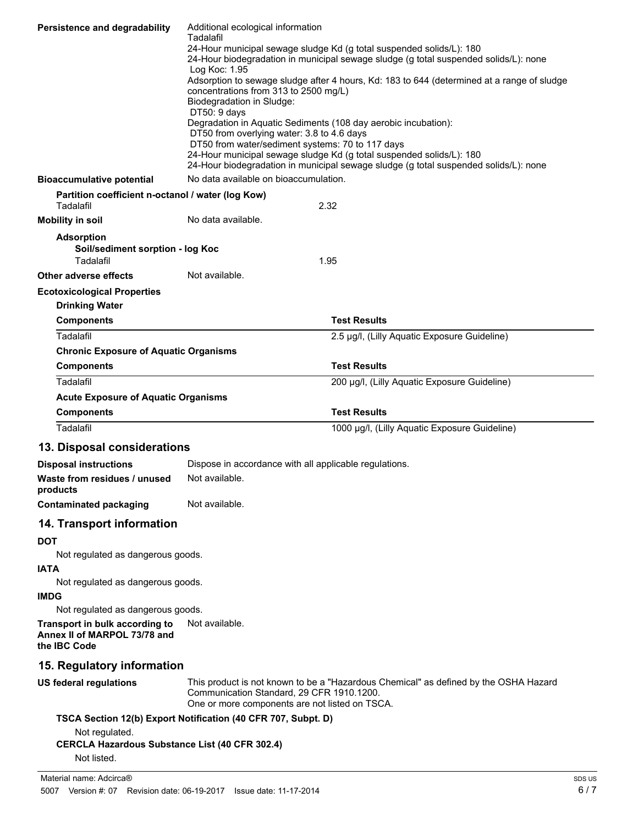| <b>Persistence and degradability</b>                                                   |                                                                                                                                                              |  |  |
|----------------------------------------------------------------------------------------|--------------------------------------------------------------------------------------------------------------------------------------------------------------|--|--|
|                                                                                        | Tadalafil<br>24-Hour municipal sewage sludge Kd (g total suspended solids/L): 180                                                                            |  |  |
|                                                                                        | 24-Hour biodegradation in municipal sewage sludge (g total suspended solids/L): none<br>Log Koc: 1.95                                                        |  |  |
|                                                                                        | Adsorption to sewage sludge after 4 hours, Kd: 183 to 644 (determined at a range of sludge                                                                   |  |  |
|                                                                                        | concentrations from 313 to 2500 mg/L)<br>Biodegradation in Sludge:                                                                                           |  |  |
|                                                                                        | DT50: 9 days                                                                                                                                                 |  |  |
|                                                                                        | Degradation in Aquatic Sediments (108 day aerobic incubation):<br>DT50 from overlying water: 3.8 to 4.6 days                                                 |  |  |
|                                                                                        | DT50 from water/sediment systems: 70 to 117 days                                                                                                             |  |  |
|                                                                                        | 24-Hour municipal sewage sludge Kd (g total suspended solids/L): 180<br>24-Hour biodegradation in municipal sewage sludge (g total suspended solids/L): none |  |  |
| <b>Bioaccumulative potential</b>                                                       | No data available on bioaccumulation.                                                                                                                        |  |  |
| Partition coefficient n-octanol / water (log Kow)<br>Tadalafil                         | 2.32                                                                                                                                                         |  |  |
| <b>Mobility in soil</b>                                                                | No data available.                                                                                                                                           |  |  |
| <b>Adsorption</b>                                                                      |                                                                                                                                                              |  |  |
| Soil/sediment sorption - log Koc                                                       |                                                                                                                                                              |  |  |
| Tadalafil                                                                              | 1.95                                                                                                                                                         |  |  |
| Other adverse effects                                                                  | Not available.                                                                                                                                               |  |  |
| <b>Ecotoxicological Properties</b><br><b>Drinking Water</b>                            |                                                                                                                                                              |  |  |
| <b>Components</b>                                                                      | <b>Test Results</b>                                                                                                                                          |  |  |
| Tadalafil                                                                              | 2.5 µg/l, (Lilly Aquatic Exposure Guideline)                                                                                                                 |  |  |
| <b>Chronic Exposure of Aquatic Organisms</b>                                           |                                                                                                                                                              |  |  |
| <b>Components</b>                                                                      | <b>Test Results</b>                                                                                                                                          |  |  |
| Tadalafil                                                                              | 200 µg/l, (Lilly Aquatic Exposure Guideline)                                                                                                                 |  |  |
| <b>Acute Exposure of Aquatic Organisms</b>                                             |                                                                                                                                                              |  |  |
| <b>Components</b>                                                                      | <b>Test Results</b>                                                                                                                                          |  |  |
| Tadalafil                                                                              | 1000 μg/l, (Lilly Aquatic Exposure Guideline)                                                                                                                |  |  |
| 13. Disposal considerations                                                            |                                                                                                                                                              |  |  |
| <b>Disposal instructions</b>                                                           | Dispose in accordance with all applicable regulations.                                                                                                       |  |  |
| Waste from residues / unused<br>products                                               | Not available.                                                                                                                                               |  |  |
| <b>Contaminated packaging</b>                                                          | Not available.                                                                                                                                               |  |  |
| 14. Transport information                                                              |                                                                                                                                                              |  |  |
| <b>DOT</b><br>Not regulated as dangerous goods.                                        |                                                                                                                                                              |  |  |
| <b>IATA</b><br>Not regulated as dangerous goods.                                       |                                                                                                                                                              |  |  |
| <b>IMDG</b>                                                                            |                                                                                                                                                              |  |  |
| Not regulated as dangerous goods.<br>Transport in bulk according to                    | Not available.                                                                                                                                               |  |  |
| Annex II of MARPOL 73/78 and<br>the IBC Code                                           |                                                                                                                                                              |  |  |
| 15. Regulatory information                                                             |                                                                                                                                                              |  |  |
| <b>US federal regulations</b>                                                          | This product is not known to be a "Hazardous Chemical" as defined by the OSHA Hazard<br>Communication Standard, 29 CFR 1910.1200.                            |  |  |
|                                                                                        | One or more components are not listed on TSCA.<br>TSCA Section 12(b) Export Notification (40 CFR 707, Subpt. D)                                              |  |  |
| Not regulated.<br><b>CERCLA Hazardous Substance List (40 CFR 302.4)</b><br>Not listed. |                                                                                                                                                              |  |  |